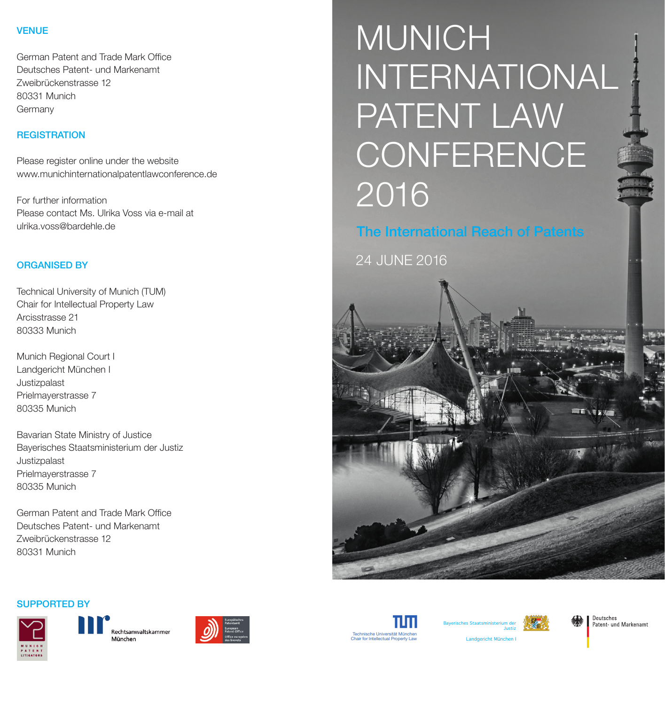# VENUE

German Patent and Trade Mark Office Deutsches Patent- und Markenamt Zweibrückenstrasse 12 80331 Munich Germany

# **REGISTRATION**

Please register online under the website www.munichinternationalpatentlawconference.de

For further information Please contact Ms. Ulrika Voss via e-mail at ulrika.voss@bardehle.de

# ORGANISED BY

Technical University of Munich (TUM) Chair for Intellectual Property Law Arcisstrasse 21 80333 Munich

Munich Regional Court I Landgericht München I Justizpalast Prielmayerstrasse 7 80335 Munich

Bavarian State Ministry of Justice Bayerisches Staatsministerium der Justiz Justizpalast Prielmayerstrasse 7 80335 Munich

German Patent and Trade Mark Office Deutsches Patent- und Markenamt Zweibrückenstrasse 12 80331 Munich

# MUNICH INTERNATIONAL PATENT LAW **CONFERENCE** 2016

The International Reach of Patents

24 JUNE 2016













Deutsches<br>Patent- und Markenamt

Landgericht München I